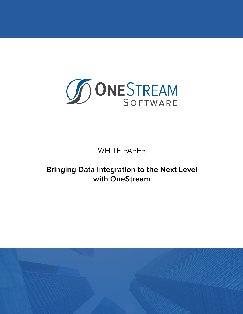

# WHITE PAPER

# **Bringing Data Integration to the Next Level with OneStream**

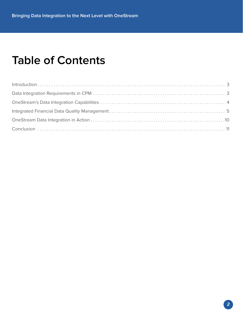# **Table of Contents**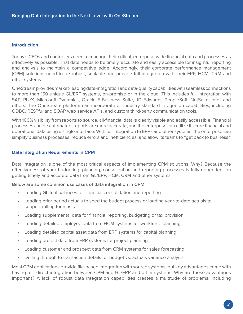### **Introduction**

Today's CFOs and controllers need to manage their critical, enterprise-wide financial data and processes as effectively as possible. That data needs to be timely, accurate and easily accessible for insightful reporting and analysis to maintain a competitive edge. Accordingly, their corporate performance management (CPM) solutions need to be robust, scalable and provide full integration with their ERP, HCM, CRM and other systems.

OneStream provides market-leading data-integration and data-quality capabilities with seamless connections to more than 150 unique GL/ERP systems, on-premise or in the cloud. This includes full integration with SAP, PLeX, Microsoft Dynamics, Oracle E-Business Suite, JD Edwards, PeopleSoft, NetSuite, Infor and others. The OneStream platform can incorporate all industry standard integration capabilities, including ODBC, RESTful and SOAP web service APIs, and custom third-party communication tools.

With 100% visibility from reports to source, all-financial data is clearly visible and easily accessible. Financial processes can be automated, reports are more accurate, and the enterprise can utilize its core financial and operational data using a single interface. With full integration to ERPs and other systems, the enterprise can simplify business processes, reduce errors and inefficiencies, and allow its teams to "get back to business."

### **Data Integration Requirements in CPM**

Data integration is one of the most critical aspects of implementing CPM solutions. Why? Because the effectiveness of your budgeting, planning, consolidation and reporting processes is fully dependent on getting timely and accurate data from GL/ERP, HCM, CRM and other systems.

#### **Below are some common use cases of data integration in CPM:**

- Loading GL trial balances for financial consolidation and reporting
- Loading prior period actuals to seed the budget process or loading year-to-date actuals to support rolling forecasts
- Loading supplemental data for financial reporting, budgeting or tax provision
- Loading detailed employee data from HCM systems for workforce planning
- Loading detailed capital asset data from ERP systems for capital planning
- Loading project data from ERP systems for project planning
- Loading customer and prospect data from CRM systems for sales forecasting
- Drilling through to transaction details for budget vs. actuals variance analysis

Most CPM applications provide file-based integration with source systems, but key advantages come with having full, direct integration between CPM and GL/ERP and other systems. Why are those advantages important? A lack of robust data integration capabilities creates a multitude of problems, including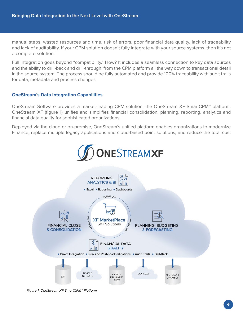<span id="page-3-0"></span>manual steps, wasted resources and time, risk of errors, poor financial data quality, lack of traceability and lack of auditability. If your CPM solution doesn't fully integrate with your source systems, then it's not a complete solution.

Full integration goes beyond "compatibility." How? It includes a seamless connection to key data sources and the ability to drill-back and drill-through, from the CPM platform all the way down to transactional detail in the source system. The process should be fully automated and provide 100% traceability with audit trails for data, metadata and process changes.

### **OneStream's Data Integration Capabilities**

OneStream Software provides a market-leading CPM solution, the OneStream XF SmartCPM™ platform. OneStream XF (figure 1) unifies and simplifies financial consolidation, planning, reporting, analytics and financial data quality for sophisticated organizations.

Deployed via the cloud or on-premise, OneStream's unified platform enables organizations to modernize Finance, replace multiple legacy applications and cloud-based point solutions, and reduce the total cost



Figure 1: OneStream XF SmartCPM™ Platform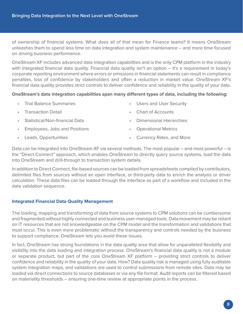of ownership of financial systems. What does all of that mean for Finance teams? It means OneStream unleashes them to spend less time on data integration and system maintenance – and more time focused on driving business performance.

OneStream XF includes advanced data integration capabilities and is the only CPM platform in the industry with integrated financial data quality. Financial data quality isn't an option – it's a requirement in today's corporate reporting environment where errors or omissions in financial statements can result in compliance penalties, loss of confidence by stakeholders and often a reduction in market value. OneStream XF's financial data quality provides strict controls to deliver confidence and reliability in the quality of your data.

### **OneStream's data integration capabilities span many different types of data, including the following:**

- Trial Balance Summaries
- Transaction Detail
- Statistical/Non-financial Data
- Employees, Jobs and Positions

• Operational Metrics

• Dimensional Hierarchies

• Users and User Security

• Chart of Accounts

• Leads, Opportunities

• Currency Rates, and More

Data can be integrated into OneStream XF via several methods. The most popular – and most powerful – is the "Direct Connect" approach, which enables OneStream to directly query source systems, load the data into OneStream and drill-through to transaction system details.

In addition to Direct Connect, file-based sources can be loaded from spreadsheets compiled by contributors, delimited files from sources without an open interface, or third-party data to enrich the analysis or driver calculation. These data files can be loaded through the interface as part of a workflow and included in the data validation sequence.

### **Integrated Financial Data Quality Management**

The loading, mapping and transforming of data from source systems to CPM solutions can be cumbersome and fragmented without highly connected and business user-managed tools. Data movement may be reliant on IT resources that are not knowledgeable on the CPM model and the transformation and validations that must occur. This is even more problematic without the transparency and controls needed by the business to support compliance. OneStream lets you avoid these issues.

In fact, OneStream has strong foundations in the data quality area that allow for unparalleled flexibility and visibility into the data loading and integration process. OneStream's financial data quality is not a module or separate product, but part of the core OneStream XF platform – providing strict controls to deliver confidence and reliability in the quality of your data. How? Data quality risk is managed using fully auditable system integration maps, and validations are used to control submissions from remote sites. Data may be loaded via direct connections to source databases or via any file format. Audit reports can be filtered based on materiality thresholds – ensuring one-time review at appropriate points in the process.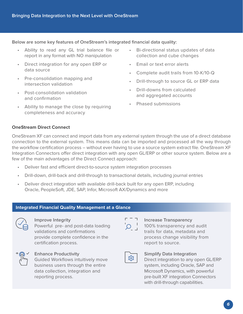**Below are some key features of OneStream's integrated financial data quality:**

- Ability to read any GL trial balance file or report in any format with NO manipulation
- Direct integration for any open ERP or data source
- Pre-consolidation mapping and intersection validation
- Post-consolidation validation and confirmation
- Ability to manage the close by requiring completeness and accuracy
- Bi-directional status updates of data collection and cube changes
- Email or text error alerts
- Complete audit trails from 10-K/10-Q
- Drill-through to source GL or ERP data
- Drill-downs from calculated and aggregated accounts
- Phased submissions

### **OneStream Direct Connect**

OneStream XF can connect and import data from any external system through the use of a direct database connection to the external system. This means data can be imported and processed all the way through the workflow certification process – without ever having to use a source system extract file. OneStream XF Integration Connectors offer direct integration with any open GL/ERP or other source system. Below are a few of the main advantages of the Direct Connect approach:

- Deliver fast and efficient direct-to-source system integration processes
- Drill-down, drill-back and drill-through to transactional details, including journal entries
- Deliver direct integration with available drill-back built for any open ERP, including Oracle, PeopleSoft, JDE, SAP, Infor, Microsoft AX/Dynamics and more

### **Integrated Financial Quality Management at a Glance**



### **Improve Integrity**

Powerful pre- and post-data loading validations and confirmations provide complete confidence in the certification process.



### **Enhance Productivity** Guided Workflows intuitively move business users through the entire data collection, integration and reporting process.



### **Increase Transparency**

100% transparency and audit trails for data, metadata and process change visibility from report to source.

### **Simplify Data Integration**

Direct integration to any open GL/ERP system, including Oracle, SAP and Microsoft Dynamics, with powerful pre-built XF integration Connectors with drill-through capabilities.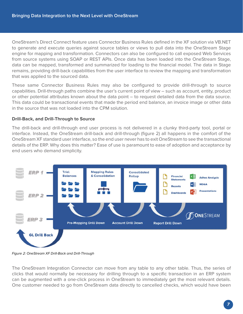OneStream's Direct Connect feature uses Connector Business Rules defined in the XF solution via VB.NET to generate and execute queries against source tables or views to pull data into the OneStream Stage engine for mapping and transformation. Connectors can also be configured to call exposed Web Services from source systems using SOAP or REST APIs. Once data has been loaded into the OneStream Stage, data can be mapped, transformed and summarized for loading to the financial model. The data in Stage remains, providing drill-back capabilities from the user interface to review the mapping and transformation that was applied to the sourced data.

These same Connector Business Rules may also be configured to provide drill-through to source capabilities. Drill-through paths combine the user's current point of view – such as account, entity, product or other potential attributes known about the data point – to request detailed data from the data source. This data could be transactional events that made the period end balance, an invoice image or other data in the source that was not loaded into the CPM solution.

### **Drill-Back, and Drill-Through to Source**

The drill-back and drill-through end user process is not delivered in a clunky third-party tool, portal or interface. Instead, the OneStream drill-back and drill-through (figure 2) all happens in the comfort of the OneStream XF standard user interface, so the end user never has to exit OneStream to see the transactional details of the ERP. Why does this matter? Ease of use is paramount to ease of adoption and acceptance by end users who demand simplicity.



Figure 2: OneStream XF Drill-Back and Drill-Through

The OneStream Integration Connector can move from any table to any other table. Thus, the series of clicks that would normally be necessary for drilling through to a specific transaction in an ERP system can be augmented with a one-click process in OneStream to immediately get the most relevant details. One customer needed to go from OneStream data directly to cancelled checks, which would have been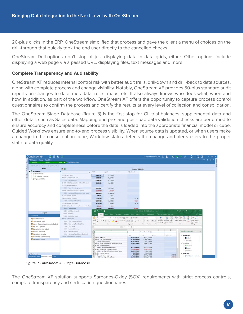20-plus clicks in the ERP. OneStream simplified that process and gave the client a menu of choices on the drill-through that quickly took the end user directly to the cancelled checks.

OneStream Drill-options don't stop at just displaying data in data grids, either. Other options include displaying a web page via a passed URL, displaying files, text messages and more.

### **Complete Transparency and Auditability**

OneStream XF reduces internal control risk with better audit trails, drill-down and drill-back to data sources, along with complete process and change visibility. Notably, OneStream XF provides 50-plus standard audit reports on changes to data, metadata, rules, maps, etc. It also always knows who does what, when and how. In addition, as part of the workflow, OneStream XF offers the opportunity to capture process control questionnaires to confirm the process and certify the results at every level of collection and consolidation.

The OneStream Stage Database (figure 3) is the first stop for GL trial balances, supplemental data and other detail, such as Sales data. Mapping and pre- and post-load data validation checks are performed to ensure accuracy and completeness before the data is loaded into the appropriate financial model or cube. Guided Workflows ensure end-to-end process visibility. When source data is updated, or when users make a change in the consolidation cube, Workflow status detects the change and alerts users to the proper state of data quality.

| $O$ <b><math>\bullet</math></b> $\bullet$ $\circ$<br><b><i>CONESTREAM XF</i></b> |                                                  |                                                      |                                                 |                                     | CEO, GolfStreamDemo, v18                                                                     | 2                             | ٥<br>c.<br>$\circ$<br>$Q = 2 - 2 = 3$                                                               |  |
|----------------------------------------------------------------------------------|--------------------------------------------------|------------------------------------------------------|-------------------------------------------------|-------------------------------------|----------------------------------------------------------------------------------------------|-------------------------------|-----------------------------------------------------------------------------------------------------|--|
| 7 Houston - Actual - Feb 2018                                                    |                                                  |                                                      |                                                 |                                     |                                                                                              |                               | $\longrightarrow$ 100% $\oplus$ $\rightarrow$ $\times$                                              |  |
| Confirm<br>Process                                                               | Certify <b>ID</b> Completed Locked               |                                                      |                                                 |                                     |                                                                                              |                               |                                                                                                     |  |
| Sat Certification Status V Quick Certification                                   |                                                  |                                                      |                                                 |                                     |                                                                                              |                               |                                                                                                     |  |
| <b>Status</b>                                                                    | <b>B D</b><br>Houston - 2018M2                   |                                                      |                                                 |                                     |                                                                                              |                               |                                                                                                     |  |
| <b>C</b> Certification                                                           | s.                                               | Total                                                | Forms<br>Import                                 | Adjustments                         |                                                                                              |                               |                                                                                                     |  |
| <b>C</b> Questionnaires                                                          |                                                  |                                                      |                                                 |                                     |                                                                                              |                               |                                                                                                     |  |
| G SOX Plant Controller                                                           | 60999 - Net Sales                                | 79.451.581                                           | 79.451 581                                      |                                     |                                                                                              |                               |                                                                                                     |  |
| C Dependent Status                                                               | 43000 - Cost of Goods Sold                       | 42,034,036                                           | 42,034,036                                      |                                     |                                                                                              |                               |                                                                                                     |  |
|                                                                                  | 61000 - Gross Income                             | 37,417,545                                           | 37,417,545                                      |                                     |                                                                                              |                               |                                                                                                     |  |
|                                                                                  | 54400 - Total Operating Exp Before Allocation    | 19,643,294                                           | 19.643.294                                      |                                     |                                                                                              |                               |                                                                                                     |  |
|                                                                                  | 54350 - Total Allocations                        |                                                      |                                                 |                                     |                                                                                              |                               |                                                                                                     |  |
|                                                                                  | 62000 - Total Operating Income                   | 17,774,251                                           | 17,774.251                                      |                                     |                                                                                              |                               |                                                                                                     |  |
|                                                                                  | 62999 - Total Other Income (Expense)             | $-3.290,209$                                         | $-5.290.209$                                    |                                     |                                                                                              |                               |                                                                                                     |  |
|                                                                                  | 63000 - Eamings Before Interest and Toxes        | 14,484,042                                           | 14.484.042                                      |                                     |                                                                                              |                               |                                                                                                     |  |
|                                                                                  | 63100 - Interest Income-                         | 316,551                                              | 316,551                                         |                                     |                                                                                              |                               |                                                                                                     |  |
|                                                                                  | 55000 - Interest Expense                         | 1,751,538                                            | 1,739.538                                       | 12,000                              |                                                                                              |                               |                                                                                                     |  |
|                                                                                  | 64000 - Earnings Batoral Taxes                   | 13.049.055                                           | 13.061.055                                      | $-12,000$                           |                                                                                              |                               |                                                                                                     |  |
|                                                                                  |                                                  |                                                      |                                                 |                                     |                                                                                              |                               |                                                                                                     |  |
|                                                                                  | 56999 - Total Income Taxes                       | 8,272,470                                            | 8,248,470                                       | 24,000                              |                                                                                              |                               |                                                                                                     |  |
|                                                                                  | 65200 - Extraodinary Income/Expense (net of tax) | $-212.100$                                           | $-212,000$                                      |                                     |                                                                                              |                               |                                                                                                     |  |
|                                                                                  | 69000 - Net Income                               | 4.564.485                                            | 4,600,485                                       | $-36,000$                           |                                                                                              |                               |                                                                                                     |  |
| Analysis                                                                         | 15000 - Total Current Assets                     | 目 ちゃの                                                | $-1 + 1$                                        |                                     | Test+Balance+(Origin) Exportato: - Excel                                                     |                               | Craig Colby (T)<br>$0 \times x$<br>$-1$                                                             |  |
|                                                                                  | 16999 - Net FPAE                                 | Film<br><b>Silviance</b>                             |                                                 |                                     | Insert Draw Page Leyout Formulas Data Review View OneStream XF O Tell me what you want to do |                               | IP Stare                                                                                            |  |
| Cube Views                                                                       | 17995 - Total Other Assets                       | <b>X</b>                                             |                                                 | - 11 - A A = II III の - 比 Wrap Text |                                                                                              |                               |                                                                                                     |  |
| <b>P</b> Calculation Status                                                      | 19999 - Total Assets                             | Catao.                                               |                                                 |                                     | General                                                                                      |                               |                                                                                                     |  |
| <sup>17</sup> Consolidation Status                                               | 22000 - Total Current Liabilities                | Paste                                                | $u$ .                                           |                                     | S - % + M 21 Conditional Format as Cell                                                      | Formatting - Table - Styles - | Sort & Find &<br>Insert Delete Format<br>Filter - Select -<br>$\mathcal{L}_{\mathcal{L}}$<br>$\sim$ |  |
| T Income Statement Variance Act vs Budget                                        | 25000 - Total Long-Term Liabilities              | Claboard fi                                          | Feet                                            | Algorient                           | <b>Number</b>                                                                                | <b>Skylan</b>                 | Edding<br>Cally                                                                                     |  |
| Key Data - By Entity                                                             | 27999 - Total Stock                              | Ai                                                   |                                                 | $+$ $+$ $\times$ $+$ $+$            |                                                                                              |                               |                                                                                                     |  |
| Coverating Exp (Act vs Bud)                                                      | 28999 - Retained Earnings                        |                                                      | _____                                           |                                     |                                                                                              |                               |                                                                                                     |  |
| P Required Statements                                                            | 29000 - Minority Interest                        |                                                      |                                                 | $\blacksquare$                      | $\epsilon$<br>$\circ$<br>Trial Balance (Origin)                                              |                               | OneStream XF *                                                                                      |  |
| Trial Balance By Entity                                                          | 29100 - Cumency Translation Adjustment           | $\mathbf{z}$                                         |                                                 |                                     |                                                                                              |                               |                                                                                                     |  |
| Thial Balance (Consolidation)                                                    | 29999 - Total Liabilities & Coulty               | 3                                                    |                                                 | Total                               | Forms<br>Import                                                                              | <b>Adjustments</b>            | 4 Global POV                                                                                        |  |
|                                                                                  |                                                  | 4 60999 - Net Sales                                  |                                                 | 79.451.581.01                       | 79,451,581.01                                                                                |                               | <b>P</b> Actual                                                                                     |  |
| Thial Balance (Origin)                                                           |                                                  | 5 41000 - Cost of Goods Sold<br>61000 - Gross Income |                                                 | 42.034.036.00<br>37,417,545.01      | 42,034,036.00<br>37,417,545.01                                                               |                               | Q2018M3                                                                                             |  |
|                                                                                  |                                                  |                                                      | 7 54400 - Total Operating Exp Before Allocation | 19.643.293.85                       | 19.643,293.85                                                                                |                               | 4 Workflow POV                                                                                      |  |
|                                                                                  |                                                  | 8 54350 - Total Allocations                          |                                                 |                                     |                                                                                              |                               | + Houston                                                                                           |  |
|                                                                                  |                                                  |                                                      | 62000 - Total Operating Income                  | 17,774,251.16                       | 17,774,251.16                                                                                |                               | Actual                                                                                              |  |
|                                                                                  |                                                  |                                                      | 10 62999 - Total Other Income (Expense)         | $-3.290.209.95$                     | $-1,290,200,35$                                                                              |                               | C 2018M2                                                                                            |  |
|                                                                                  |                                                  | 33.1<br>12 63100 - Interest Income                   | 63000 - Earnings Before Interest and Taxes      | 14.484.041.80<br>316.551.00         | 14,484,041.80<br>316,551.00                                                                  |                               |                                                                                                     |  |
| Dashboards                                                                       |                                                  | 13 S5000 - Interest Expense                          |                                                 | 1,751,538.00                        | 1,739,538.00                                                                                 | 12,000.00                     | 4 Cube POV                                                                                          |  |
| Dishboard Fina Houston - Actua New                                               |                                                  |                                                      | 14 64000 - Earnings Before Taxes                | 13.049.054.80                       | 13,061,054.80                                                                                | $-1.2,000,00$                 | GolfStream - Corpora                                                                                |  |

Figure 3: OneStream XF Stage Database

The OneStream XF solution supports Sarbanes-Oxley (SOX) requirements with strict process controls, complete transparency and certification questionnaires.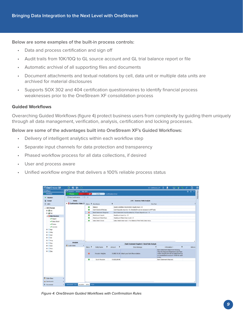### **Below are some examples of the built-in process controls:**

- Data and process certification and sign off
- Audit trails from 10K/10Q to GL source account and GL trial balance report or file
- Automatic archival of all supporting files and documents
- Document attachments and textual notations by cell, data unit or multiple data units are archived for material disclosures
- Supports SOX 302 and 404 certification questionnaires to identify financial process weaknesses prior to the OneStream XF consolidation process

### **Guided Workflows**

Overarching Guided Workflows (figure 4) protect business users from complexity by guiding them uniquely through all data management, verification, analysis, certification and locking processes.

### **Below are some of the advantages built into OneStream XF's Guided Workflows:**

- Delivery of intelligent analytics within each workflow step
- Separate input channels for data protection and transparency
- Phased workflow process for all data collections, if desired
- User and process aware
- Unified workflow engine that delivers a 100% reliable process status



Figure 4: OneStream Guided Workflows with Confirmation Rules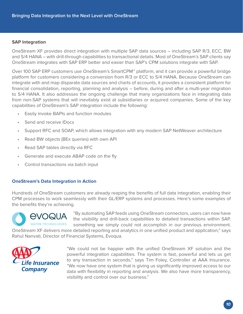### <span id="page-9-0"></span>**SAP Integration**

OneStream XF provides direct integration with multiple SAP data sources – including SAP R/3, ECC, BW and S/4 HANA – with drill-through capabilities to transactional details. Most of OneStream's SAP clients say OneStream integrates with SAP ERP better and easier than SAP's CPM solutions integrate with SAP.

Over 100 SAP ERP customers use OneStream's SmartCPM™ platform, and it can provide a powerful bridge platform for customers considering a conversion from R/3 or ECC to S/4 HANA. Because OneStream can integrate with and map disparate data sources and charts of accounts, it provides a consistent platform for financial consolidation, reporting, planning and analysis – before, during and after a multi-year migration to S/4 HANA. It also addresses the ongoing challenge that many organizations face in integrating data from non-SAP systems that will inevitably exist at subsidiaries or acquired companies. Some of the key capabilities of OneStream's SAP integration include the following:

- Easily invoke BAPIs and function modules
- Send and receive IDocs
- Support RFC and SOAP, which allows integration with any modern SAP NetWeaver architecture
- Read BW objects (BEx queries) with own API
- Read SAP tables directly via RFC
- Generate and execute ABAP code on the fly
- Control transactions via batch input

### **OneStream's Data Integration in Action**

Hundreds of OneStream customers are already reaping the benefits of full data integration, enabling their CPM processes to work seamlessly with their GL/ERP systems and processes. Here's some examples of the benefits they're achieving.



"By automating SAP feeds using OneStream connectors, users can now have the visibility and drill-back capabilities to detailed transactions within SAP, something we simply could not accomplish in our previous environment.

OneStream XF delivers more detailed reporting and analytics in one unified product and application," says Rahul Nanvati, Director of Financial Systems, Evoqua.



"We could not be happier with the unified OneStream XF solution and the powerful integration capabilities. The system is fast, powerful and lets us get to any transaction in seconds," says Tim Foley, Controller at AAA Insurance. "We now have one system that is giving us significantly improved access to our data with flexibility in reporting and analysis. We also have more transparency, visibility and control over our business."